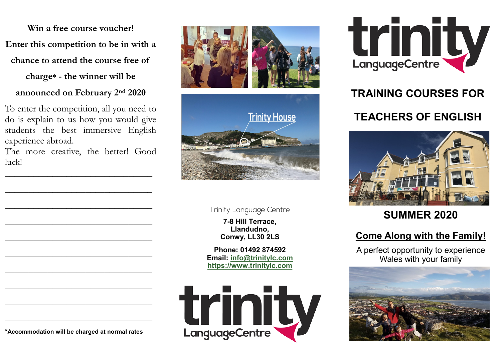**Win a free course voucher!**

**Enter this competition to be in with a** 

**chance to attend the course free of** 

**charge\* - the winner will be** 

**announced on February 2nd 2020**

To enter the competition, all you need to do is explain to us how you would give students the best immersive English experience abroad.

The more creative, the better! Good luck!

\_\_\_\_\_\_\_\_\_\_\_\_\_\_\_\_\_\_\_\_\_\_\_\_\_\_\_\_\_\_\_

\_\_\_\_\_\_\_\_\_\_\_\_\_\_\_\_\_\_\_\_\_\_\_\_\_\_\_\_\_\_\_

\_\_\_\_\_\_\_\_\_\_\_\_\_\_\_\_\_\_\_\_\_\_\_\_\_\_\_\_\_\_\_

\_\_\_\_\_\_\_\_\_\_\_\_\_\_\_\_\_\_\_\_\_\_\_\_\_\_\_\_\_\_\_

\_\_\_\_\_\_\_\_\_\_\_\_\_\_\_\_\_\_\_\_\_\_\_\_\_\_\_\_\_\_\_

\_\_\_\_\_\_\_\_\_\_\_\_\_\_\_\_\_\_\_\_\_\_\_\_\_\_\_\_\_\_\_

\_\_\_\_\_\_\_\_\_\_\_\_\_\_\_\_\_\_\_\_\_\_\_\_\_\_\_\_\_\_\_

\_\_\_\_\_\_\_\_\_\_\_\_\_\_\_\_\_\_\_\_\_\_\_\_\_\_\_\_\_\_\_

\_\_\_\_\_\_\_\_\_\_\_\_\_\_\_\_\_\_\_\_\_\_\_\_\_\_\_\_\_\_\_

\_\_\_\_\_\_\_\_\_\_\_\_\_\_\_\_\_\_\_\_\_\_\_\_\_\_\_\_\_\_\_



**Trinity Language Centre** 

**7-8 Hill Terrace, Llandudno, Conwy, LL30 2LS**

**Phone: 01492 874592 Email: [info@trinitylc.com](mailto:info@trinitylc.com) <https://www.trinitylc.com>**





## **TRAINING COURSES FOR**

### **TEACHERS OF ENGLISH**



### **SUMMER 2020**

### **Come Along with the Family!**

A perfect opportunity to experience Wales with your family



**\*Accommodation will be charged at normal rates**